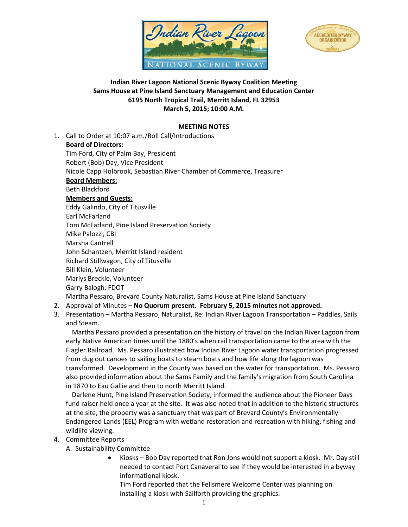



# **Indian River Lagoon National Scenic Byway Coalition Meeting Sams House at Pine Island Sanctuary Management and Education Center 6195 North Tropical Trail, Merritt Island, FL 32953 March 5, 2015; 10:00 A.M.**

## **MEETING NOTES**

1. Call to Order at 10:07 a.m./Roll Call/Introductions **Board of Directors:** Tim Ford, City of Palm Bay, President Robert (Bob) Day, Vice President Nicole Capp Holbrook, Sebastian River Chamber of Commerce, Treasurer **Board Members:** Beth Blackford **Members and Guests:** Eddy Galindo, City of Titusville Earl McFarland Tom McFarland, Pine Island Preservation Society Mike Palozzi, CBI Marsha Cantrell John Schantzen, Merritt Island resident Richard Stillwagon, City of Titusville Bill Klein, Volunteer Marlys Breckle, Volunteer Garry Balogh, FDOT Martha Pessaro, Brevard County Naturalist, Sams House at Pine Island Sanctuary

### 2. Approval of Minutes – **No Quorum present. February 5, 2015 minutes not approved.**

3. Presentation – Martha Pessaro, Naturalist, Re: Indian River Lagoon Transportation – Paddles, Sails and Steam.

Martha Pessaro provided a presentation on the history of travel on the Indian River Lagoon from early Native American times until the 1880's when rail transportation came to the area with the Flagler Railroad. Ms. Pessaro illustrated how Indian River Lagoon water transportation progressed from dug out canoes to sailing boats to steam boats and how life along the lagoon was transformed. Development in the County was based on the water for transportation. Ms. Pessaro also provided information about the Sams Family and the family's migration from South Carolina in 1870 to Eau Gallie and then to north Merritt Island.

Darlene Hunt, Pine Island Preservation Society, informed the audience about the Pioneer Days fund raiser held once a year at the site. It was also noted that in addition to the historic structures at the site, the property was a sanctuary that was part of Brevard County's Environmentally Endangered Lands (EEL) Program with wetland restoration and recreation with hiking, fishing and wildlife viewing.

### 4. Committee Reports

### A. Sustainability Committee

• Kiosks – Bob Day reported that Ron Jons would not support a kiosk. Mr. Day still needed to contact Port Canaveral to see if they would be interested in a byway informational kiosk.

Tim Ford reported that the Fellsmere Welcome Center was planning on installing a kiosk with Sailforth providing the graphics.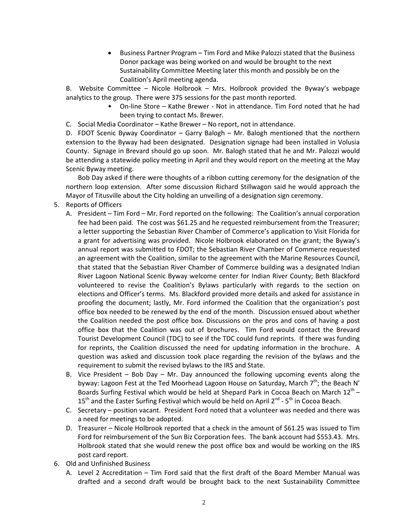• Business Partner Program – Tim Ford and Mike Palozzi stated that the Business Donor package was being worked on and would be brought to the next Sustainability Committee Meeting later this month and possibly be on the Coalition's April meeting agenda.

B. Website Committee – Nicole Holbrook – Mrs. Holbrook provided the Byway's webpage analytics to the group. There were 375 sessions for the past month reported.

- On-line Store Kathe Brewer Not in attendance. Tim Ford noted that he had been trying to contact Ms. Brewer.
- C. Social Media Coordinator Kathe Brewer No report, not in attendance.

D. FDOT Scenic Byway Coordinator – Garry Balogh – Mr. Balogh mentioned that the northern extension to the Byway had been designated. Designation signage had been installed in Volusia County. Signage in Brevard should go up soon. Mr. Balogh stated that he and Mr. Palozzi would be attending a statewide policy meeting in April and they would report on the meeting at the May Scenic Byway meeting.

Bob Day asked if there were thoughts of a ribbon cutting ceremony for the designation of the northern loop extension. After some discussion Richard Stillwagon said he would approach the Mayor of Titusville about the City holding an unveiling of a designation sign ceremony.

- 5. Reports of Officers
	- A. President Tim Ford Mr. Ford reported on the following: The Coalition's annual corporation fee had been paid. The cost was \$61.25 and he requested reimbursement from the Treasurer; a letter supporting the Sebastian River Chamber of Commerce's application to Visit Florida for a grant for advertising was provided. Nicole Holbrook elaborated on the grant; the Byway's annual report was submitted to FDOT; the Sebastian River Chamber of Commerce requested an agreement with the Coalition, similar to the agreement with the Marine Resources Council, that stated that the Sebastian River Chamber of Commerce building was a designated Indian River Lagoon National Scenic Byway welcome center for Indian River County; Beth Blackford volunteered to revise the Coalition's Bylaws particularly with regards to the section on elections and Officer's terms. Ms. Blackford provided more details and asked for assistance in proofing the document; lastly, Mr. Ford informed the Coalition that the organization's post office box needed to be renewed by the end of the month. Discussion ensued about whether the Coalition needed the post office box. Discussions on the pros and cons of having a post office box that the Coalition was out of brochures. Tim Ford would contact the Brevard Tourist Development Council (TDC) to see if the TDC could fund reprints. If there was funding for reprints, the Coalition discussed the need for updating information in the brochure. A question was asked and discussion took place regarding the revision of the bylaws and the requirement to submit the revised bylaws to the IRS and State.
	- B. Vice President Bob Day Mr. Day announced the following upcoming events along the byway: Lagoon Fest at the Ted Moorhead Lagoon House on Saturday, March  $7<sup>th</sup>$ ; the Beach N' Boards Surfing Festival which would be held at Shepard Park in Cocoa Beach on March  $12^{th}$  –  $15<sup>th</sup>$  and the Easter Surfing Festival which would be held on April 2<sup>nd</sup> - 5<sup>th</sup> in Cocoa Beach.
	- C. Secretary position vacant. President Ford noted that a volunteer was needed and there was a need for meetings to be adopted.
	- D. Treasurer Nicole Holbrook reported that a check in the amount of \$61.25 was issued to Tim Ford for reimbursement of the Sun Biz Corporation fees. The bank account had \$553.43. Mrs. Holbrook stated that she would renew the post office box and would be working on the IRS post card report.
- 6. Old and Unfinished Business
	- A. Level 2 Accreditation Tim Ford said that the first draft of the Board Member Manual was drafted and a second draft would be brought back to the next Sustainability Committee